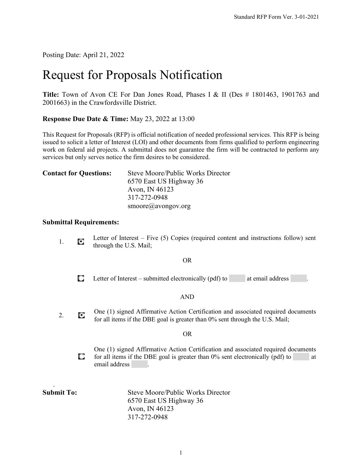Posting Date: April 21, 2022

# Request for Proposals Notification

**Title:** Town of Avon CE For Dan Jones Road, Phases I & II (Des # 1801463, 1901763 and 2001663) in the Crawfordsville District.

**Response Due Date & Time:** May 23, 2022 at 13:00

This Request for Proposals (RFP) is official notification of needed professional services. This RFP is being issued to solicit a letter of Interest (LOI) and other documents from firms qualified to perform engineering work on federal aid projects. A submittal does not guarantee the firm will be contracted to perform any services but only serves notice the firm desires to be considered.

| <b>Contact for Questions:</b> | Steve Moore/Public Works Director |  |
|-------------------------------|-----------------------------------|--|
|                               | 6570 East US Highway 36           |  |
|                               | Avon, IN 46123                    |  |
|                               | 317-272-0948                      |  |
|                               | smoore@avongov.org                |  |

### **Submittal Requirements:**

1. Letter of Interest – Five (5) Copies (required content and instructions follow) sent through the U.S. Mail;

#### OR

 $\Box$  Letter of Interest – submitted electronically (pdf) to at email address

#### AND

2. One (1) signed Affirmative Action Certification and associated required documents for all items if the DBE goal is greater than 0% sent through the U.S. Mail;

#### OR

One (1) signed Affirmative Action Certification and associated required documents О for all items if the DBE goal is greater than  $0\%$  sent electronically (pdf) to at email address .

| ٠          |                                   |
|------------|-----------------------------------|
| Submit To: | Steve Moore/Public Works Director |
|            | 6570 East US Highway 36           |
|            | Avon, IN $46123$                  |
|            | 317-272-0948                      |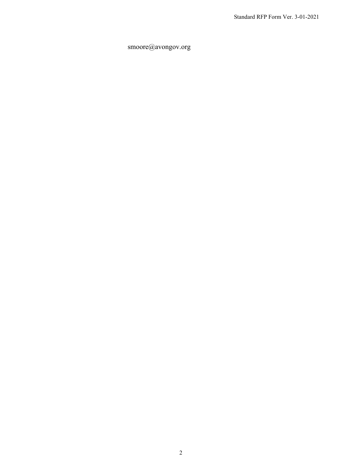smoore@avongov.org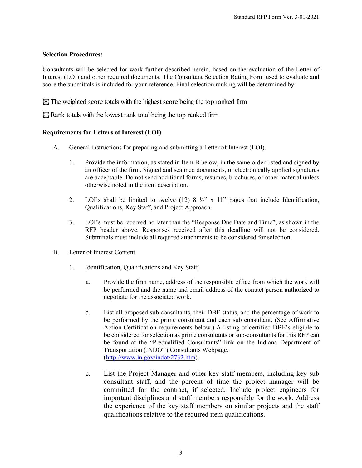### **Selection Procedures:**

Consultants will be selected for work further described herein, based on the evaluation of the Letter of Interest (LOI) and other required documents. The Consultant Selection Rating Form used to evaluate and score the submittals is included for your reference. Final selection ranking will be determined by:

The weighted score totals with the highest score being the top ranked firm

Rank totals with the lowest rank total being the top ranked firm

### **Requirements for Letters of Interest (LOI)**

- A. General instructions for preparing and submitting a Letter of Interest (LOI).
	- 1. Provide the information, as stated in Item B below, in the same order listed and signed by an officer of the firm. Signed and scanned documents, or electronically applied signatures are acceptable. Do not send additional forms, resumes, brochures, or other material unless otherwise noted in the item description.
	- 2. LOI's shall be limited to twelve (12) 8  $\frac{1}{2}$ " x 11" pages that include Identification, Qualifications, Key Staff, and Project Approach.
	- 3. LOI's must be received no later than the "Response Due Date and Time"; as shown in the RFP header above. Responses received after this deadline will not be considered. Submittals must include all required attachments to be considered for selection.
- B. Letter of Interest Content
	- 1. Identification, Qualifications and Key Staff
		- a. Provide the firm name, address of the responsible office from which the work will be performed and the name and email address of the contact person authorized to negotiate for the associated work.
		- b. List all proposed sub consultants, their DBE status, and the percentage of work to be performed by the prime consultant and each sub consultant. (See Affirmative Action Certification requirements below.) A listing of certified DBE's eligible to be considered for selection as prime consultants or sub-consultants for this RFP can be found at the "Prequalified Consultants" link on the Indiana Department of Transportation (INDOT) Consultants Webpage. (http://www.in.gov/indot/2732.htm).
		- c. List the Project Manager and other key staff members, including key sub consultant staff, and the percent of time the project manager will be committed for the contract, if selected. Include project engineers for important disciplines and staff members responsible for the work. Address the experience of the key staff members on similar projects and the staff qualifications relative to the required item qualifications.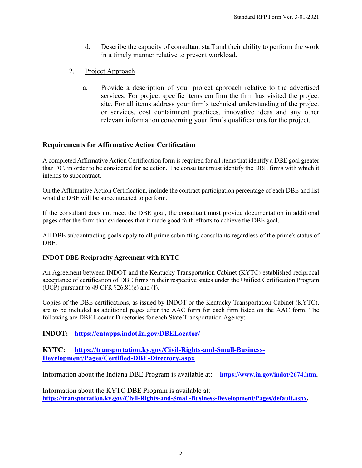- d. Describe the capacity of consultant staff and their ability to perform the work in a timely manner relative to present workload.
- 2. Project Approach
	- a. Provide a description of your project approach relative to the advertised services. For project specific items confirm the firm has visited the project site. For all items address your firm's technical understanding of the project or services, cost containment practices, innovative ideas and any other relevant information concerning your firm's qualifications for the project.

# **Requirements for Affirmative Action Certification**

A completed Affirmative Action Certification form is required for all items that identify a DBE goal greater than "0", in order to be considered for selection. The consultant must identify the DBE firms with which it intends to subcontract.

On the Affirmative Action Certification, include the contract participation percentage of each DBE and list what the DBE will be subcontracted to perform.

If the consultant does not meet the DBE goal, the consultant must provide documentation in additional pages after the form that evidences that it made good faith efforts to achieve the DBE goal.

All DBE subcontracting goals apply to all prime submitting consultants regardless of the prime's status of DBE.

#### **INDOT DBE Reciprocity Agreement with KYTC**

An Agreement between INDOT and the Kentucky Transportation Cabinet (KYTC) established reciprocal acceptance of certification of DBE firms in their respective states under the Unified Certification Program (UCP) pursuant to 49 CFR  $?26.81(e)$  and (f).

Copies of the DBE certifications, as issued by INDOT or the Kentucky Transportation Cabinet (KYTC), are to be included as additional pages after the AAC form for each firm listed on the AAC form. The following are DBE Locator Directories for each State Transportation Agency:

## **INDOT: https://entapps.indot.in.gov/DBELocator/**

## **KYTC: https://transportation.ky.gov/Civil-Rights-and-Small-Business-Development/Pages/Certified-DBE-Directory.aspx**

Information about the Indiana DBE Program is available at: **https://www.in.gov/indot/2674.htm.** 

Information about the KYTC DBE Program is available at: **https://transportation.ky.gov/Civil-Rights-and-Small-Business-Development/Pages/default.aspx.**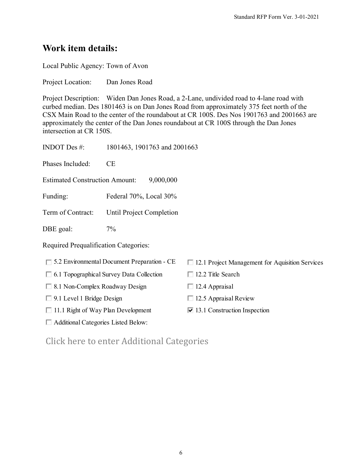# **Work item details:**

Local Public Agency: Town of Avon

Project Location: Dan Jones Road

Project Description: Widen Dan Jones Road, a 2-Lane, undivided road to 4-lane road with curbed median. Des 1801463 is on Dan Jones Road from approximately 375 feet north of the CSX Main Road to the center of the roundabout at CR 100S. Des Nos 1901763 and 2001663 are approximately the center of the Dan Jones roundabout at CR 100S through the Dan Jones intersection at CR 150S.

| INDOT Des $#$ :                              | 1801463, 1901763 and 2001663                       |                                                        |
|----------------------------------------------|----------------------------------------------------|--------------------------------------------------------|
| Phases Included:                             | CE                                                 |                                                        |
| <b>Estimated Construction Amount:</b>        | 9,000,000                                          |                                                        |
| Funding:                                     | Federal 70%, Local 30%                             |                                                        |
| Term of Contract:                            | Until Project Completion                           |                                                        |
| DBE goal:                                    | $7\%$                                              |                                                        |
| <b>Required Prequalification Categories:</b> |                                                    |                                                        |
|                                              | $\Box$ 5.2 Environmental Document Preparation - CE | $\Box$ 12.1 Project Management for Aquisition Services |
|                                              | $\Box$ 6.1 Topographical Survey Data Collection    | $\Box$ 12.2 Title Search                               |
| $\Box$ 8.1 Non-Complex Roadway Design        |                                                    | $\Box$ 12.4 Appraisal                                  |
| $\Box$ 9.1 Level 1 Bridge Design             |                                                    | 12.5 Appraisal Review                                  |
|                                              |                                                    |                                                        |

- $\Box$  11.1 Right of Way Plan Development  $\Box$  13.1 Construction Inspection
- Additional Categories Listed Below:
- 

# Click here to enter Additional Categories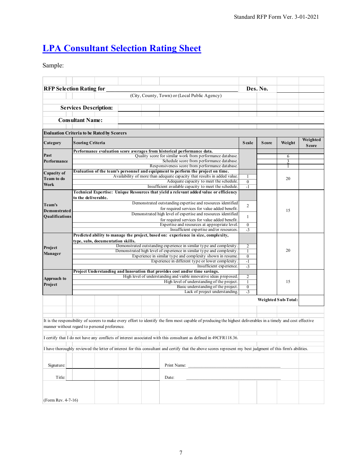# **LPA Consultant Selection Rating Sheet**

Sample:

|                           | <b>RFP Selection Rating for</b>                                                                                                                                 | Des. No.                         |              |                     |              |
|---------------------------|-----------------------------------------------------------------------------------------------------------------------------------------------------------------|----------------------------------|--------------|---------------------|--------------|
|                           | (City, County, Town) or (Local Public Agency)                                                                                                                   |                                  |              |                     |              |
|                           |                                                                                                                                                                 |                                  |              |                     |              |
|                           | <b>Services Description:</b>                                                                                                                                    |                                  |              |                     |              |
|                           |                                                                                                                                                                 |                                  |              |                     |              |
|                           | <b>Consultant Name:</b>                                                                                                                                         |                                  |              |                     |              |
|                           |                                                                                                                                                                 |                                  |              |                     |              |
|                           | <b>Evaluation Criteria to be Rated by Scorers</b>                                                                                                               |                                  |              |                     |              |
| Category                  | <b>Scoring Criteria</b>                                                                                                                                         | <b>Scale</b>                     | <b>Score</b> | Weight              | Weighted     |
|                           |                                                                                                                                                                 |                                  |              |                     | <b>Score</b> |
| Past                      | Performance evaluation score averages from historical performance data.<br>Quality score for similar work from performance database.                            |                                  |              | 6                   |              |
| Performance               | Schedule score from performance database.                                                                                                                       |                                  |              | 3                   |              |
|                           | Responsiveness score from performance database.                                                                                                                 |                                  |              | 1                   |              |
|                           | Evaluation of the team's personnel and equipment to perform the project on time.                                                                                |                                  |              |                     |              |
| Capacity of<br>Team to do | Availability of more than adequate capacity that results in added value.                                                                                        | 1                                |              | 20                  |              |
|                           | Adequate capacity to meet the schedule.                                                                                                                         | $\overline{0}$                   |              |                     |              |
| Work                      | Insufficient available capacity to meet the schedule.                                                                                                           | $-1$                             |              |                     |              |
|                           | Technical Expertise: Unique Resources that yield a relevant added value or efficiency                                                                           |                                  |              |                     |              |
|                           | to the deliverable.                                                                                                                                             |                                  |              |                     |              |
| Team's                    | Demonstrated outstanding expertise and resources identified                                                                                                     | 2                                |              |                     |              |
| <b>Demonstrated</b>       | for required services for value added benefit.                                                                                                                  |                                  |              | 15                  |              |
| Qualifications            | Demonstrated high level of expertise and resources identified                                                                                                   | $\mathbf{1}$                     |              |                     |              |
|                           | for required services for value added benefit.                                                                                                                  |                                  |              |                     |              |
|                           | Expertise and resources at appropriate level.                                                                                                                   | $\overline{0}$                   |              |                     |              |
|                           | Insufficient expertise and/or resources.                                                                                                                        | $-3$                             |              |                     |              |
|                           | Predicted ability to manage the project, based on: experience in size, complexity,                                                                              |                                  |              |                     |              |
|                           | type, subs, documentation skills.                                                                                                                               |                                  |              |                     |              |
| Project                   | Demonstrated outstanding experience in similar type and complexity.                                                                                             | $\overline{2}$<br>$\overline{1}$ |              |                     |              |
| Manager                   | Demonstrated high level of experience in similar type and complexity.                                                                                           |                                  |              | 20                  |              |
|                           | Experience in similar type and complexity shown in resume.<br>Experience in different type or lower complexity.                                                 |                                  |              |                     |              |
|                           | Insufficient experience.                                                                                                                                        | $-1$<br>$-3$                     |              |                     |              |
|                           | Project Understanding and Innovation that provides cost and/or time savings.                                                                                    |                                  |              |                     |              |
|                           | High level of understanding and viable innovative ideas proposed.                                                                                               | $\overline{2}$                   |              |                     |              |
| Approach to               | High level of understanding of the project.                                                                                                                     | $\mathbf{1}$                     |              | 15                  |              |
| Project                   | Basic understanding of the project.                                                                                                                             | $\overline{0}$                   |              |                     |              |
|                           | Lack of project understanding.                                                                                                                                  | $-3$                             |              |                     |              |
|                           |                                                                                                                                                                 |                                  |              | Weighted Sub-Total: |              |
|                           |                                                                                                                                                                 |                                  |              |                     |              |
|                           |                                                                                                                                                                 |                                  |              |                     |              |
|                           |                                                                                                                                                                 |                                  |              |                     |              |
|                           | It is the responsibility of scorers to make every effort to identify the firm most capable of producing the highest deliverables in a timely and cost effective |                                  |              |                     |              |
|                           | manner without regard to personal preference.                                                                                                                   |                                  |              |                     |              |
|                           |                                                                                                                                                                 |                                  |              |                     |              |
|                           | I certify that I do not have any conflicts of interest associated with this consultant as defined in 49CFR118.36.                                               |                                  |              |                     |              |
|                           |                                                                                                                                                                 |                                  |              |                     |              |
|                           | I have thoroughly reviewed the letter of interest for this consultant and certify that the above scores represent my best judgment of this firm's abilities.    |                                  |              |                     |              |
|                           |                                                                                                                                                                 |                                  |              |                     |              |
|                           |                                                                                                                                                                 |                                  |              |                     |              |
| Signature:                | Print Name:                                                                                                                                                     |                                  |              |                     |              |
|                           |                                                                                                                                                                 |                                  |              |                     |              |
| Title:                    | Date:                                                                                                                                                           |                                  |              |                     |              |
|                           |                                                                                                                                                                 |                                  |              |                     |              |
|                           |                                                                                                                                                                 |                                  |              |                     |              |
|                           |                                                                                                                                                                 |                                  |              |                     |              |
| (Form Rev. 4-7-16)        |                                                                                                                                                                 |                                  |              |                     |              |